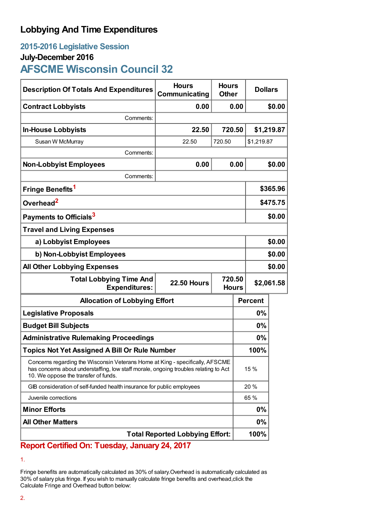## **Lobbying And Time Expenditures**

### **2015-2016 Legislative Session**

### **July-December 2016**

# **AFSCME Wisconsin Council 32**

| <b>Description Of Totals And Expenditures</b>                                                                                                                                                                 | <b>Hours</b><br>Communicating                | <b>Hours</b><br><b>Other</b> |                | <b>Dollars</b> |        |
|---------------------------------------------------------------------------------------------------------------------------------------------------------------------------------------------------------------|----------------------------------------------|------------------------------|----------------|----------------|--------|
| <b>Contract Lobbyists</b>                                                                                                                                                                                     | 0.00                                         | 0.00                         |                | \$0.00         |        |
| Comments:                                                                                                                                                                                                     |                                              |                              |                |                |        |
| <b>In-House Lobbyists</b>                                                                                                                                                                                     | 22.50                                        | 720.50                       |                | \$1,219.87     |        |
| Susan W McMurray                                                                                                                                                                                              | 22.50                                        | 720.50                       |                | \$1,219.87     |        |
| Comments:                                                                                                                                                                                                     |                                              |                              |                |                |        |
| <b>Non-Lobbyist Employees</b>                                                                                                                                                                                 | 0.00                                         |                              | 0.00           |                | \$0.00 |
| Comments:                                                                                                                                                                                                     |                                              |                              |                |                |        |
| Fringe Benefits <sup>1</sup>                                                                                                                                                                                  |                                              |                              | \$365.96       |                |        |
| Overhead <sup>2</sup>                                                                                                                                                                                         |                                              |                              | \$475.75       |                |        |
| Payments to Officials <sup>3</sup>                                                                                                                                                                            |                                              |                              |                | \$0.00         |        |
| <b>Travel and Living Expenses</b>                                                                                                                                                                             |                                              |                              |                |                |        |
| a) Lobbyist Employees                                                                                                                                                                                         |                                              |                              |                | \$0.00         |        |
| b) Non-Lobbyist Employees                                                                                                                                                                                     |                                              |                              | \$0.00         |                |        |
| <b>All Other Lobbying Expenses</b>                                                                                                                                                                            |                                              |                              |                | \$0.00         |        |
| <b>Total Lobbying Time And</b><br><b>Expenditures:</b>                                                                                                                                                        | 720.50<br><b>22.50 Hours</b><br><b>Hours</b> |                              |                | \$2,061.58     |        |
| <b>Allocation of Lobbying Effort</b>                                                                                                                                                                          |                                              |                              | <b>Percent</b> |                |        |
| <b>Legislative Proposals</b>                                                                                                                                                                                  |                                              |                              | 0%             |                |        |
| <b>Budget Bill Subjects</b>                                                                                                                                                                                   |                                              |                              | 0%             |                |        |
| <b>Administrative Rulemaking Proceedings</b>                                                                                                                                                                  |                                              |                              | 0%             |                |        |
| <b>Topics Not Yet Assigned A Bill Or Rule Number</b>                                                                                                                                                          |                                              |                              | 100%           |                |        |
| Concerns regarding the Wisconsin Veterans Home at King - specifically, AFSCME<br>has concerns about understaffing, low staff morale, ongoing troubles relating to Act<br>10. We oppose the transfer of funds. |                                              |                              |                | 15 %           |        |
| GIB consideration of self-funded health insurance for public employees                                                                                                                                        |                                              |                              | 20 %           |                |        |
| Juvenile corrections                                                                                                                                                                                          |                                              |                              | 65 %           |                |        |
| <b>Minor Efforts</b>                                                                                                                                                                                          |                                              |                              | 0%             |                |        |
| <b>All Other Matters</b>                                                                                                                                                                                      |                                              |                              | 0%             |                |        |
| <b>Total Reported Lobbying Effort:</b>                                                                                                                                                                        |                                              |                              |                | 100%           |        |

## **Report Certified On: Tuesday, January 24, 2017**

#### 1.

Fringe benefits are automatically calculated as 30% of salary.Overhead is automatically calculated as 30% of salary plus fringe. If you wish to manually calculate fringe benefits and overhead,click the Calculate Fringe and Overhead button below: